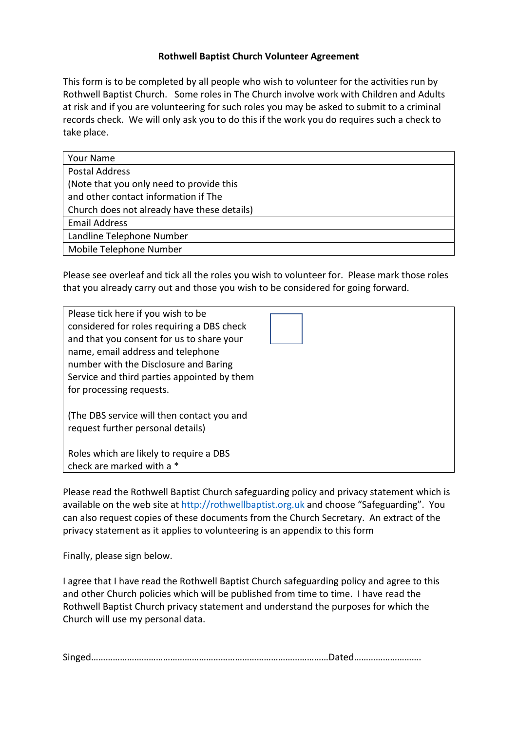## **Rothwell Baptist Church Volunteer Agreement**

This form is to be completed by all people who wish to volunteer for the activities run by Rothwell Baptist Church. Some roles in The Church involve work with Children and Adults at risk and if you are volunteering for such roles you may be asked to submit to a criminal records check. We will only ask you to do this if the work you do requires such a check to take place.

| <b>Your Name</b>                            |  |
|---------------------------------------------|--|
| <b>Postal Address</b>                       |  |
| (Note that you only need to provide this    |  |
| and other contact information if The        |  |
| Church does not already have these details) |  |
| <b>Email Address</b>                        |  |
| Landline Telephone Number                   |  |
| Mobile Telephone Number                     |  |

Please see overleaf and tick all the roles you wish to volunteer for. Please mark those roles that you already carry out and those you wish to be considered for going forward.

| Please tick here if you wish to be<br>considered for roles requiring a DBS check<br>and that you consent for us to share your<br>name, email address and telephone<br>number with the Disclosure and Baring<br>Service and third parties appointed by them<br>for processing requests. |  |
|----------------------------------------------------------------------------------------------------------------------------------------------------------------------------------------------------------------------------------------------------------------------------------------|--|
| (The DBS service will then contact you and<br>request further personal details)                                                                                                                                                                                                        |  |
| Roles which are likely to require a DBS<br>check are marked with a *                                                                                                                                                                                                                   |  |

Please read the Rothwell Baptist Church safeguarding policy and privacy statement which is available on the web site at http://rothwellbaptist.org.uk and choose "Safeguarding". You can also request copies of these documents from the Church Secretary. An extract of the privacy statement as it applies to volunteering is an appendix to this form

Finally, please sign below.

I agree that I have read the Rothwell Baptist Church safeguarding policy and agree to this and other Church policies which will be published from time to time. I have read the Rothwell Baptist Church privacy statement and understand the purposes for which the Church will use my personal data.

| $\sim$ $\sim$<br>Singed…………………………………………………………………………………………Dated…………………… |
|------------------------------------------------------------------------|
|------------------------------------------------------------------------|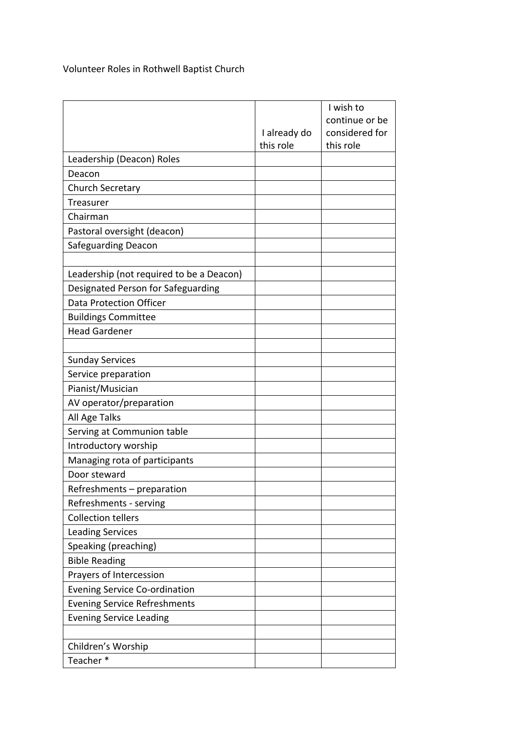Volunteer Roles in Rothwell Baptist Church

|                                          |              | I wish to      |
|------------------------------------------|--------------|----------------|
|                                          |              | continue or be |
|                                          | I already do | considered for |
|                                          | this role    | this role      |
| Leadership (Deacon) Roles                |              |                |
| Deacon                                   |              |                |
| <b>Church Secretary</b>                  |              |                |
| Treasurer                                |              |                |
| Chairman                                 |              |                |
| Pastoral oversight (deacon)              |              |                |
| <b>Safeguarding Deacon</b>               |              |                |
|                                          |              |                |
| Leadership (not required to be a Deacon) |              |                |
| Designated Person for Safeguarding       |              |                |
| <b>Data Protection Officer</b>           |              |                |
| <b>Buildings Committee</b>               |              |                |
| <b>Head Gardener</b>                     |              |                |
|                                          |              |                |
| <b>Sunday Services</b>                   |              |                |
| Service preparation                      |              |                |
| Pianist/Musician                         |              |                |
| AV operator/preparation                  |              |                |
| All Age Talks                            |              |                |
| Serving at Communion table               |              |                |
| Introductory worship                     |              |                |
| Managing rota of participants            |              |                |
| Door steward                             |              |                |
| Refreshments - preparation               |              |                |
| Refreshments - serving                   |              |                |
| <b>Collection tellers</b>                |              |                |
| <b>Leading Services</b>                  |              |                |
| Speaking (preaching)                     |              |                |
| <b>Bible Reading</b>                     |              |                |
| Prayers of Intercession                  |              |                |
| <b>Evening Service Co-ordination</b>     |              |                |
| <b>Evening Service Refreshments</b>      |              |                |
| <b>Evening Service Leading</b>           |              |                |
|                                          |              |                |
| Children's Worship                       |              |                |
| Teacher*                                 |              |                |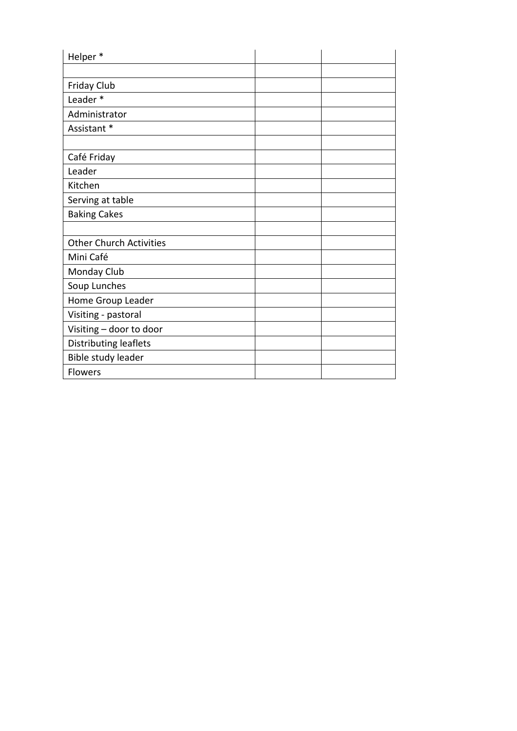| Helper*                        |  |
|--------------------------------|--|
|                                |  |
| Friday Club                    |  |
| Leader*                        |  |
| Administrator                  |  |
| Assistant *                    |  |
|                                |  |
| Café Friday                    |  |
| Leader                         |  |
| Kitchen                        |  |
| Serving at table               |  |
| <b>Baking Cakes</b>            |  |
|                                |  |
| <b>Other Church Activities</b> |  |
| Mini Café                      |  |
| Monday Club                    |  |
| Soup Lunches                   |  |
| Home Group Leader              |  |
| Visiting - pastoral            |  |
| Visiting - door to door        |  |
| <b>Distributing leaflets</b>   |  |
| Bible study leader             |  |
| <b>Flowers</b>                 |  |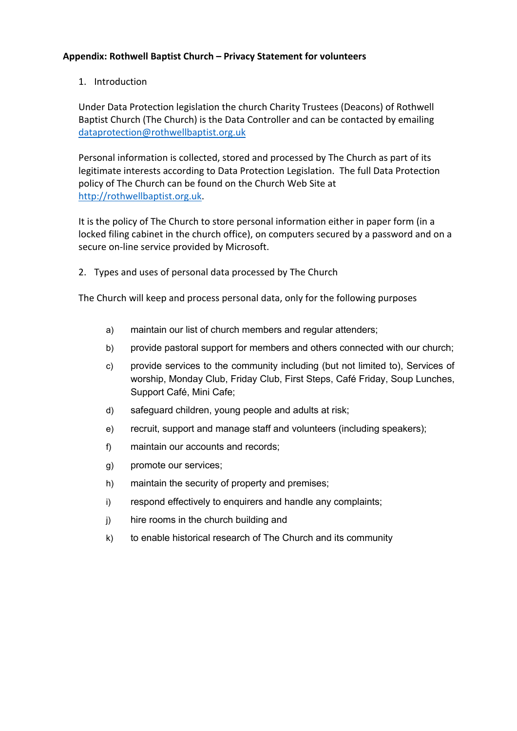## **Appendix: Rothwell Baptist Church – Privacy Statement for volunteers**

## 1. Introduction

Under Data Protection legislation the church Charity Trustees (Deacons) of Rothwell Baptist Church (The Church) is the Data Controller and can be contacted by emailing dataprotection@rothwellbaptist.org.uk

Personal information is collected, stored and processed by The Church as part of its legitimate interests according to Data Protection Legislation. The full Data Protection policy of The Church can be found on the Church Web Site at http://rothwellbaptist.org.uk.

It is the policy of The Church to store personal information either in paper form (in a locked filing cabinet in the church office), on computers secured by a password and on a secure on-line service provided by Microsoft.

2. Types and uses of personal data processed by The Church

The Church will keep and process personal data, only for the following purposes

- a) maintain our list of church members and regular attenders;
- b) provide pastoral support for members and others connected with our church;
- c) provide services to the community including (but not limited to), Services of worship, Monday Club, Friday Club, First Steps, Café Friday, Soup Lunches, Support Café, Mini Cafe;
- d) safeguard children, young people and adults at risk;
- e) recruit, support and manage staff and volunteers (including speakers);
- f) maintain our accounts and records;
- g) promote our services;
- h) maintain the security of property and premises;
- i) respond effectively to enquirers and handle any complaints;
- j) hire rooms in the church building and
- k) to enable historical research of The Church and its community